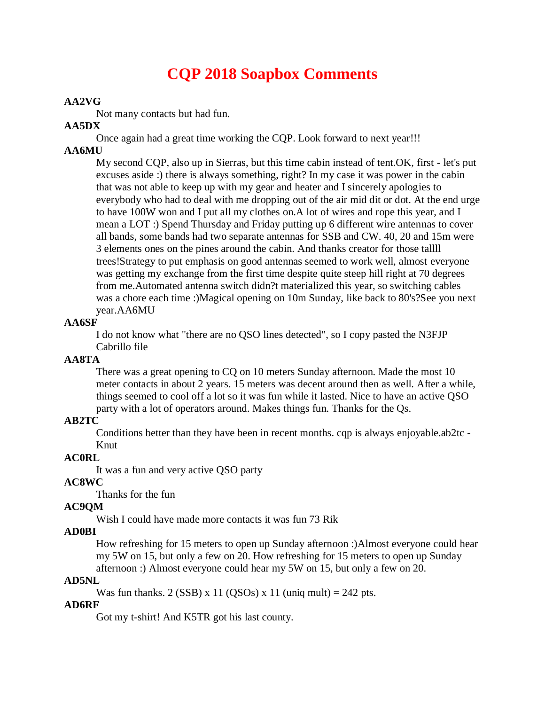# **CQP 2018 Soapbox Comments**

#### **AA2VG**

Not many contacts but had fun.

#### **AA5DX**

Once again had a great time working the CQP. Look forward to next year!!!

#### **AA6MU**

My second CQP, also up in Sierras, but this time cabin instead of tent.OK, first - let's put excuses aside :) there is always something, right? In my case it was power in the cabin that was not able to keep up with my gear and heater and I sincerely apologies to everybody who had to deal with me dropping out of the air mid dit or dot. At the end urge to have 100W won and I put all my clothes on.A lot of wires and rope this year, and I mean a LOT :) Spend Thursday and Friday putting up 6 different wire antennas to cover all bands, some bands had two separate antennas for SSB and CW. 40, 20 and 15m were 3 elements ones on the pines around the cabin. And thanks creator for those tallll trees!Strategy to put emphasis on good antennas seemed to work well, almost everyone was getting my exchange from the first time despite quite steep hill right at 70 degrees from me.Automated antenna switch didn?t materialized this year, so switching cables was a chore each time :)Magical opening on 10m Sunday, like back to 80's?See you next year.AA6MU

### **AA6SF**

I do not know what "there are no QSO lines detected", so I copy pasted the N3FJP Cabrillo file

## **AA8TA**

There was a great opening to CQ on 10 meters Sunday afternoon. Made the most 10 meter contacts in about 2 years. 15 meters was decent around then as well. After a while, things seemed to cool off a lot so it was fun while it lasted. Nice to have an active QSO party with a lot of operators around. Makes things fun. Thanks for the Qs.

#### **AB2TC**

Conditions better than they have been in recent months. cqp is always enjoyable.ab2tc - Knut

## **AC0RL**

It was a fun and very active QSO party

#### **AC8WC**

Thanks for the fun

#### **AC9QM**

Wish I could have made more contacts it was fun 73 Rik

#### **AD0BI**

How refreshing for 15 meters to open up Sunday afternoon :)Almost everyone could hear my 5W on 15, but only a few on 20. How refreshing for 15 meters to open up Sunday afternoon :) Almost everyone could hear my 5W on 15, but only a few on 20.

#### **AD5NL**

Was fun thanks.  $2$  (SSB) x 11 (OSOs) x 11 (uniq mult) = 242 pts.

#### **AD6RF**

Got my t-shirt! And K5TR got his last county.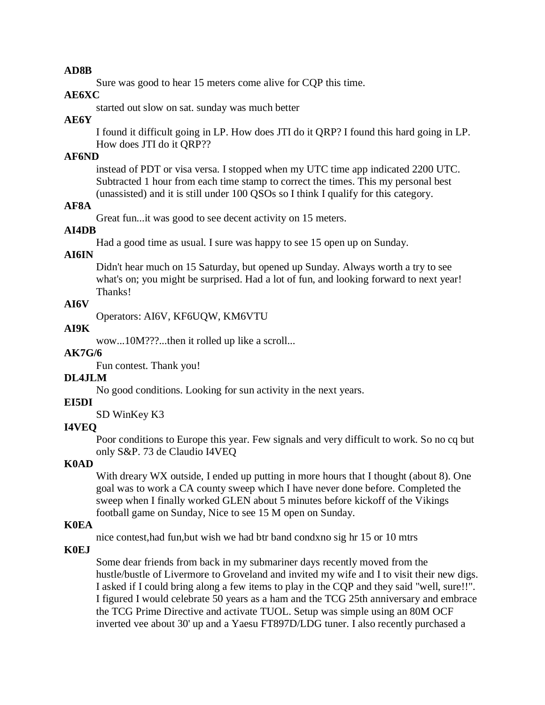#### **AD8B**

Sure was good to hear 15 meters come alive for CQP this time.

### **AE6XC**

started out slow on sat. sunday was much better

### **AE6Y**

I found it difficult going in LP. How does JTI do it QRP? I found this hard going in LP. How does JTI do it QRP??

## **AF6ND**

instead of PDT or visa versa. I stopped when my UTC time app indicated 2200 UTC. Subtracted 1 hour from each time stamp to correct the times. This my personal best (unassisted) and it is still under 100 QSOs so I think I qualify for this category.

## **AF8A**

Great fun...it was good to see decent activity on 15 meters.

## **AI4DB**

Had a good time as usual. I sure was happy to see 15 open up on Sunday.

## **AI6IN**

Didn't hear much on 15 Saturday, but opened up Sunday. Always worth a try to see what's on; you might be surprised. Had a lot of fun, and looking forward to next year! Thanks!

## **AI6V**

Operators: AI6V, KF6UQW, KM6VTU

## **AI9K**

wow...10M???...then it rolled up like a scroll...

## **AK7G/6**

Fun contest. Thank you!

## **DL4JLM**

No good conditions. Looking for sun activity in the next years.

## **EI5DI**

SD WinKey K3

### **I4VEQ**

Poor conditions to Europe this year. Few signals and very difficult to work. So no cq but only S&P. 73 de Claudio I4VEQ

## **K0AD**

With dreary WX outside, I ended up putting in more hours that I thought (about 8). One goal was to work a CA county sweep which I have never done before. Completed the sweep when I finally worked GLEN about 5 minutes before kickoff of the Vikings football game on Sunday, Nice to see 15 M open on Sunday.

## **K0EA**

nice contest,had fun,but wish we had btr band condxno sig hr 15 or 10 mtrs

## **K0EJ**

Some dear friends from back in my submariner days recently moved from the hustle/bustle of Livermore to Groveland and invited my wife and I to visit their new digs. I asked if I could bring along a few items to play in the CQP and they said "well, sure!!". I figured I would celebrate 50 years as a ham and the TCG 25th anniversary and embrace the TCG Prime Directive and activate TUOL. Setup was simple using an 80M OCF inverted vee about 30' up and a Yaesu FT897D/LDG tuner. I also recently purchased a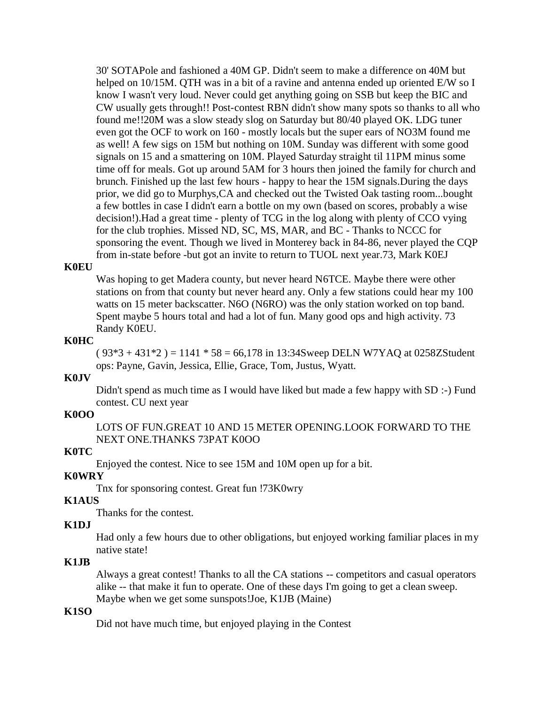30' SOTAPole and fashioned a 40M GP. Didn't seem to make a difference on 40M but helped on 10/15M. QTH was in a bit of a ravine and antenna ended up oriented E/W so I know I wasn't very loud. Never could get anything going on SSB but keep the BIC and CW usually gets through!! Post-contest RBN didn't show many spots so thanks to all who found me!!20M was a slow steady slog on Saturday but 80/40 played OK. LDG tuner even got the OCF to work on 160 - mostly locals but the super ears of NO3M found me as well! A few sigs on 15M but nothing on 10M. Sunday was different with some good signals on 15 and a smattering on 10M. Played Saturday straight til 11PM minus some time off for meals. Got up around 5AM for 3 hours then joined the family for church and brunch. Finished up the last few hours - happy to hear the 15M signals.During the days prior, we did go to Murphys,CA and checked out the Twisted Oak tasting room...bought a few bottles in case I didn't earn a bottle on my own (based on scores, probably a wise decision!).Had a great time - plenty of TCG in the log along with plenty of CCO vying for the club trophies. Missed ND, SC, MS, MAR, and BC - Thanks to NCCC for sponsoring the event. Though we lived in Monterey back in 84-86, never played the CQP from in-state before -but got an invite to return to TUOL next year.73, Mark K0EJ

#### **K0EU**

Was hoping to get Madera county, but never heard N6TCE. Maybe there were other stations on from that county but never heard any. Only a few stations could hear my 100 watts on 15 meter backscatter. N6O (N6RO) was the only station worked on top band. Spent maybe 5 hours total and had a lot of fun. Many good ops and high activity. 73 Randy K0EU.

#### **K0HC**

 $(93*3 + 431*2) = 1141 * 58 = 66,178$  in 13:34Sweep DELN W7YAQ at 0258ZStudent ops: Payne, Gavin, Jessica, Ellie, Grace, Tom, Justus, Wyatt.

## **K0JV**

Didn't spend as much time as I would have liked but made a few happy with SD :-) Fund contest. CU next year

#### **K0OO**

LOTS OF FUN.GREAT 10 AND 15 METER OPENING.LOOK FORWARD TO THE NEXT ONE.THANKS 73PAT K0OO

## **K0TC**

Enjoyed the contest. Nice to see 15M and 10M open up for a bit.

#### **K0WRY**

Tnx for sponsoring contest. Great fun !73K0wry

#### **K1AUS**

Thanks for the contest.

#### **K1DJ**

Had only a few hours due to other obligations, but enjoyed working familiar places in my native state!

#### **K1JB**

Always a great contest! Thanks to all the CA stations -- competitors and casual operators alike -- that make it fun to operate. One of these days I'm going to get a clean sweep. Maybe when we get some sunspots!Joe, K1JB (Maine)

#### **K1SO**

Did not have much time, but enjoyed playing in the Contest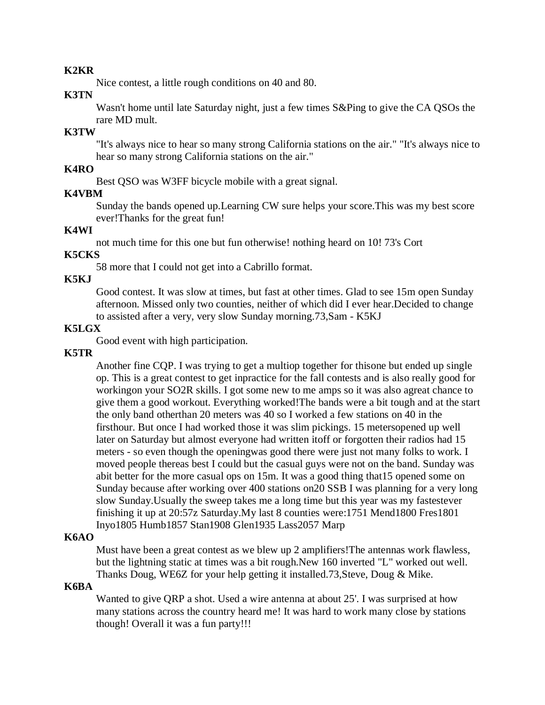#### **K2KR**

Nice contest, a little rough conditions on 40 and 80.

#### **K3TN**

Wasn't home until late Saturday night, just a few times S&Ping to give the CA QSOs the rare MD mult.

## **K3TW**

"It's always nice to hear so many strong California stations on the air." "It's always nice to hear so many strong California stations on the air."

## **K4RO**

Best QSO was W3FF bicycle mobile with a great signal.

#### **K4VBM**

Sunday the bands opened up.Learning CW sure helps your score.This was my best score ever!Thanks for the great fun!

## **K4WI**

not much time for this one but fun otherwise! nothing heard on 10! 73's Cort

## **K5CKS**

58 more that I could not get into a Cabrillo format.

## **K5KJ**

Good contest. It was slow at times, but fast at other times. Glad to see 15m open Sunday afternoon. Missed only two counties, neither of which did I ever hear.Decided to change to assisted after a very, very slow Sunday morning.73,Sam - K5KJ

#### **K5LGX**

Good event with high participation.

## **K5TR**

Another fine CQP. I was trying to get a multiop together for thisone but ended up single op. This is a great contest to get inpractice for the fall contests and is also really good for workingon your SO2R skills. I got some new to me amps so it was also agreat chance to give them a good workout. Everything worked!The bands were a bit tough and at the start the only band otherthan 20 meters was 40 so I worked a few stations on 40 in the firsthour. But once I had worked those it was slim pickings. 15 metersopened up well later on Saturday but almost everyone had written itoff or forgotten their radios had 15 meters - so even though the openingwas good there were just not many folks to work. I moved people thereas best I could but the casual guys were not on the band. Sunday was abit better for the more casual ops on 15m. It was a good thing that15 opened some on Sunday because after working over 400 stations on20 SSB I was planning for a very long slow Sunday.Usually the sweep takes me a long time but this year was my fastestever finishing it up at 20:57z Saturday.My last 8 counties were:1751 Mend1800 Fres1801 Inyo1805 Humb1857 Stan1908 Glen1935 Lass2057 Marp

### **K6AO**

Must have been a great contest as we blew up 2 amplifiers!The antennas work flawless, but the lightning static at times was a bit rough.New 160 inverted "L" worked out well. Thanks Doug, WE6Z for your help getting it installed.73,Steve, Doug & Mike.

#### **K6BA**

Wanted to give QRP a shot. Used a wire antenna at about 25'. I was surprised at how many stations across the country heard me! It was hard to work many close by stations though! Overall it was a fun party!!!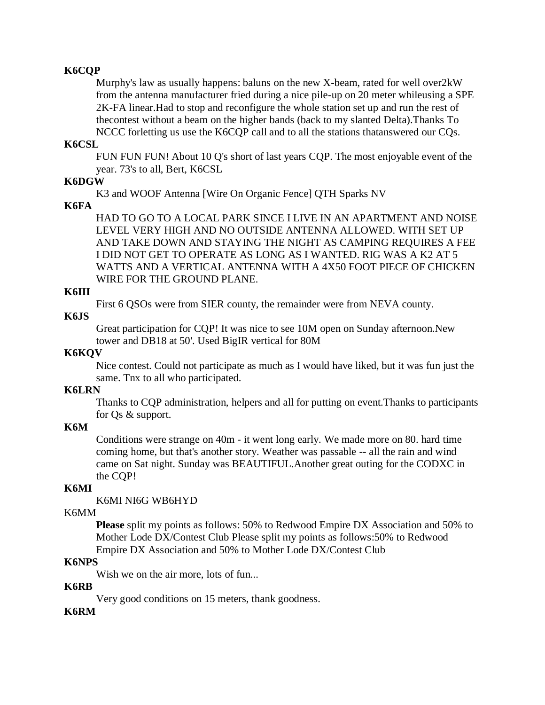## **K6CQP**

Murphy's law as usually happens: baluns on the new X-beam, rated for well over2kW from the antenna manufacturer fried during a nice pile-up on 20 meter whileusing a SPE 2K-FA linear.Had to stop and reconfigure the whole station set up and run the rest of thecontest without a beam on the higher bands (back to my slanted Delta).Thanks To NCCC forletting us use the K6CQP call and to all the stations thatanswered our CQs.

#### **K6CSL**

FUN FUN FUN! About 10 Q's short of last years CQP. The most enjoyable event of the year. 73's to all, Bert, K6CSL

#### **K6DGW**

K3 and WOOF Antenna [Wire On Organic Fence] QTH Sparks NV

### **K6FA**

HAD TO GO TO A LOCAL PARK SINCE I LIVE IN AN APARTMENT AND NOISE LEVEL VERY HIGH AND NO OUTSIDE ANTENNA ALLOWED. WITH SET UP AND TAKE DOWN AND STAYING THE NIGHT AS CAMPING REQUIRES A FEE I DID NOT GET TO OPERATE AS LONG AS I WANTED. RIG WAS A K2 AT 5 WATTS AND A VERTICAL ANTENNA WITH A 4X50 FOOT PIECE OF CHICKEN WIRE FOR THE GROUND PLANE.

## **K6III**

First 6 QSOs were from SIER county, the remainder were from NEVA county.

#### **K6JS**

Great participation for CQP! It was nice to see 10M open on Sunday afternoon.New tower and DB18 at 50'. Used BigIR vertical for 80M

### **K6KQV**

Nice contest. Could not participate as much as I would have liked, but it was fun just the same. Tnx to all who participated.

#### **K6LRN**

Thanks to CQP administration, helpers and all for putting on event.Thanks to participants for Qs & support.

### **K6M**

Conditions were strange on 40m - it went long early. We made more on 80. hard time coming home, but that's another story. Weather was passable -- all the rain and wind came on Sat night. Sunday was BEAUTIFUL.Another great outing for the CODXC in the CQP!

### **K6MI**

K6MI NI6G WB6HYD

#### K6MM

**Please** split my points as follows: 50% to Redwood Empire DX Association and 50% to Mother Lode DX/Contest Club Please split my points as follows:50% to Redwood Empire DX Association and 50% to Mother Lode DX/Contest Club

### **K6NPS**

Wish we on the air more, lots of fun...

## **K6RB**

Very good conditions on 15 meters, thank goodness.

### **K6RM**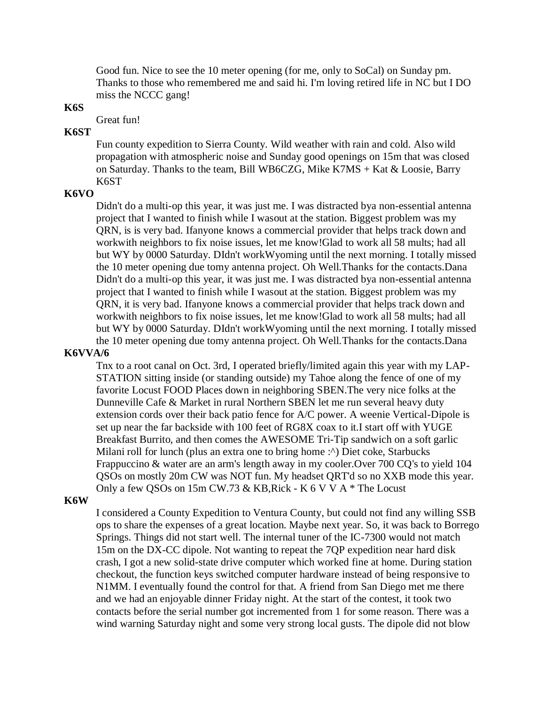Good fun. Nice to see the 10 meter opening (for me, only to SoCal) on Sunday pm. Thanks to those who remembered me and said hi. I'm loving retired life in NC but I DO miss the NCCC gang!

### **K6S**

Great fun!

## **K6ST**

Fun county expedition to Sierra County. Wild weather with rain and cold. Also wild propagation with atmospheric noise and Sunday good openings on 15m that was closed on Saturday. Thanks to the team, Bill WB6CZG, Mike K7MS + Kat & Loosie, Barry K6ST

#### **K6VO**

Didn't do a multi-op this year, it was just me. I was distracted bya non-essential antenna project that I wanted to finish while I wasout at the station. Biggest problem was my QRN, is is very bad. Ifanyone knows a commercial provider that helps track down and workwith neighbors to fix noise issues, let me know!Glad to work all 58 mults; had all but WY by 0000 Saturday. DIdn't workWyoming until the next morning. I totally missed the 10 meter opening due tomy antenna project. Oh Well.Thanks for the contacts.Dana Didn't do a multi-op this year, it was just me. I was distracted bya non-essential antenna project that I wanted to finish while I wasout at the station. Biggest problem was my QRN, it is very bad. Ifanyone knows a commercial provider that helps track down and workwith neighbors to fix noise issues, let me know!Glad to work all 58 mults; had all but WY by 0000 Saturday. DIdn't workWyoming until the next morning. I totally missed the 10 meter opening due tomy antenna project. Oh Well.Thanks for the contacts.Dana

### **K6VVA/6**

Tnx to a root canal on Oct. 3rd, I operated briefly/limited again this year with my LAP-STATION sitting inside (or standing outside) my Tahoe along the fence of one of my favorite Locust FOOD Places down in neighboring SBEN.The very nice folks at the Dunneville Cafe & Market in rural Northern SBEN let me run several heavy duty extension cords over their back patio fence for A/C power. A weenie Vertical-Dipole is set up near the far backside with 100 feet of RG8X coax to it.I start off with YUGE Breakfast Burrito, and then comes the AWESOME Tri-Tip sandwich on a soft garlic Milani roll for lunch (plus an extra one to bring home : $\land$ ) Diet coke, Starbucks Frappuccino & water are an arm's length away in my cooler.Over 700 CQ's to yield 104 QSOs on mostly 20m CW was NOT fun. My headset QRT'd so no XXB mode this year. Only a few QSOs on 15m CW.73 & KB,Rick - K 6 V V A \* The Locust

#### **K6W**

I considered a County Expedition to Ventura County, but could not find any willing SSB ops to share the expenses of a great location. Maybe next year. So, it was back to Borrego Springs. Things did not start well. The internal tuner of the IC-7300 would not match 15m on the DX-CC dipole. Not wanting to repeat the 7QP expedition near hard disk crash, I got a new solid-state drive computer which worked fine at home. During station checkout, the function keys switched computer hardware instead of being responsive to N1MM. I eventually found the control for that. A friend from San Diego met me there and we had an enjoyable dinner Friday night. At the start of the contest, it took two contacts before the serial number got incremented from 1 for some reason. There was a wind warning Saturday night and some very strong local gusts. The dipole did not blow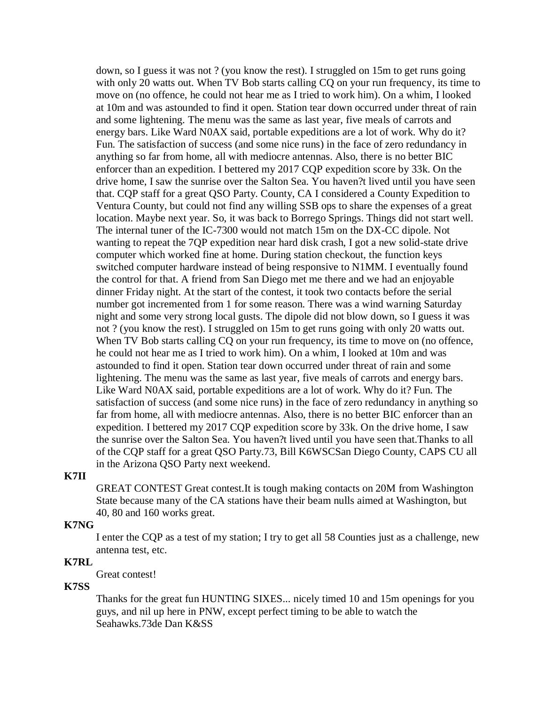down, so I guess it was not ? (you know the rest). I struggled on 15m to get runs going with only 20 watts out. When TV Bob starts calling CQ on your run frequency, its time to move on (no offence, he could not hear me as I tried to work him). On a whim, I looked at 10m and was astounded to find it open. Station tear down occurred under threat of rain and some lightening. The menu was the same as last year, five meals of carrots and energy bars. Like Ward N0AX said, portable expeditions are a lot of work. Why do it? Fun. The satisfaction of success (and some nice runs) in the face of zero redundancy in anything so far from home, all with mediocre antennas. Also, there is no better BIC enforcer than an expedition. I bettered my 2017 CQP expedition score by 33k. On the drive home, I saw the sunrise over the Salton Sea. You haven?t lived until you have seen that. CQP staff for a great QSO Party. County, CA I considered a County Expedition to Ventura County, but could not find any willing SSB ops to share the expenses of a great location. Maybe next year. So, it was back to Borrego Springs. Things did not start well. The internal tuner of the IC-7300 would not match 15m on the DX-CC dipole. Not wanting to repeat the 7QP expedition near hard disk crash, I got a new solid-state drive computer which worked fine at home. During station checkout, the function keys switched computer hardware instead of being responsive to N1MM. I eventually found the control for that. A friend from San Diego met me there and we had an enjoyable dinner Friday night. At the start of the contest, it took two contacts before the serial number got incremented from 1 for some reason. There was a wind warning Saturday night and some very strong local gusts. The dipole did not blow down, so I guess it was not ? (you know the rest). I struggled on 15m to get runs going with only 20 watts out. When TV Bob starts calling CQ on your run frequency, its time to move on (no offence, he could not hear me as I tried to work him). On a whim, I looked at 10m and was astounded to find it open. Station tear down occurred under threat of rain and some lightening. The menu was the same as last year, five meals of carrots and energy bars. Like Ward N0AX said, portable expeditions are a lot of work. Why do it? Fun. The satisfaction of success (and some nice runs) in the face of zero redundancy in anything so far from home, all with mediocre antennas. Also, there is no better BIC enforcer than an expedition. I bettered my 2017 CQP expedition score by 33k. On the drive home, I saw the sunrise over the Salton Sea. You haven?t lived until you have seen that.Thanks to all of the CQP staff for a great QSO Party.73, Bill K6WSCSan Diego County, CAPS CU all in the Arizona QSO Party next weekend.

#### **K7II**

GREAT CONTEST Great contest.It is tough making contacts on 20M from Washington State because many of the CA stations have their beam nulls aimed at Washington, but 40, 80 and 160 works great.

## **K7NG**

I enter the CQP as a test of my station; I try to get all 58 Counties just as a challenge, new antenna test, etc.

#### **K7RL**

Great contest!

#### **K7SS**

Thanks for the great fun HUNTING SIXES... nicely timed 10 and 15m openings for you guys, and nil up here in PNW, except perfect timing to be able to watch the Seahawks.73de Dan K&SS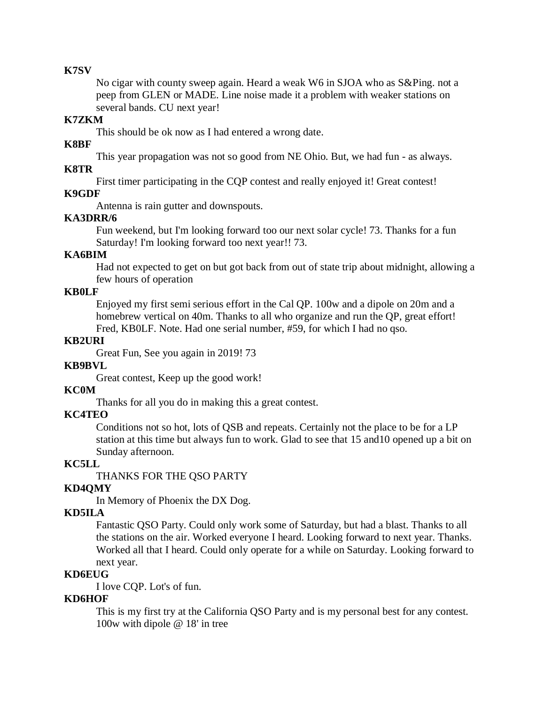#### **K7SV**

No cigar with county sweep again. Heard a weak W6 in SJOA who as S&Ping. not a peep from GLEN or MADE. Line noise made it a problem with weaker stations on several bands. CU next year!

#### **K7ZKM**

This should be ok now as I had entered a wrong date.

### **K8BF**

This year propagation was not so good from NE Ohio. But, we had fun - as always.

## **K8TR**

First timer participating in the CQP contest and really enjoyed it! Great contest!

#### **K9GDF**

Antenna is rain gutter and downspouts.

#### **KA3DRR/6**

Fun weekend, but I'm looking forward too our next solar cycle! 73. Thanks for a fun Saturday! I'm looking forward too next year!! 73.

## **KA6BIM**

Had not expected to get on but got back from out of state trip about midnight, allowing a few hours of operation

#### **KB0LF**

Enjoyed my first semi serious effort in the Cal QP. 100w and a dipole on 20m and a homebrew vertical on 40m. Thanks to all who organize and run the QP, great effort! Fred, KB0LF. Note. Had one serial number, #59, for which I had no qso.

#### **KB2URI**

Great Fun, See you again in 2019! 73

#### **KB9BVL**

Great contest, Keep up the good work!

### **KC0M**

Thanks for all you do in making this a great contest.

### **KC4TEO**

Conditions not so hot, lots of QSB and repeats. Certainly not the place to be for a LP station at this time but always fun to work. Glad to see that 15 and10 opened up a bit on Sunday afternoon.

### **KC5LL**

THANKS FOR THE QSO PARTY

### **KD4QMY**

In Memory of Phoenix the DX Dog.

## **KD5ILA**

Fantastic QSO Party. Could only work some of Saturday, but had a blast. Thanks to all the stations on the air. Worked everyone I heard. Looking forward to next year. Thanks. Worked all that I heard. Could only operate for a while on Saturday. Looking forward to next year.

#### **KD6EUG**

I love CQP. Lot's of fun.

### **KD6HOF**

This is my first try at the California QSO Party and is my personal best for any contest. 100w with dipole @ 18' in tree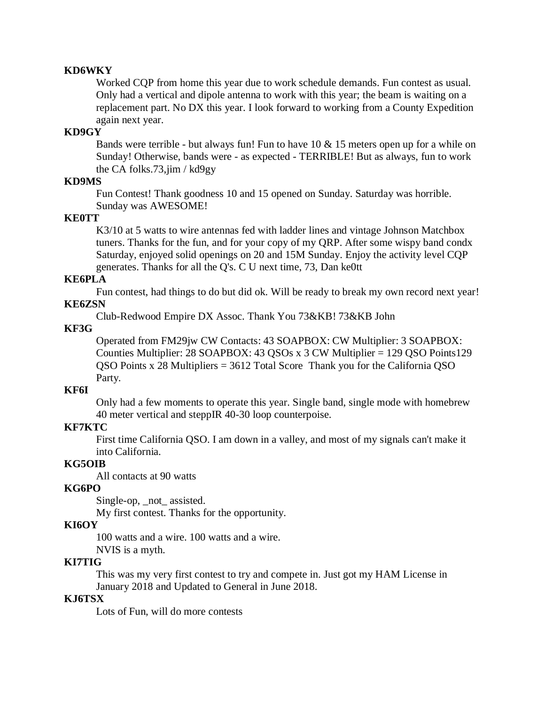### **KD6WKY**

Worked CQP from home this year due to work schedule demands. Fun contest as usual. Only had a vertical and dipole antenna to work with this year; the beam is waiting on a replacement part. No DX this year. I look forward to working from a County Expedition again next year.

## **KD9GY**

Bands were terrible - but always fun! Fun to have  $10 \& 15$  meters open up for a while on Sunday! Otherwise, bands were - as expected - TERRIBLE! But as always, fun to work the CA folks.73,jim / kd9gy

#### **KD9MS**

Fun Contest! Thank goodness 10 and 15 opened on Sunday. Saturday was horrible. Sunday was AWESOME!

#### **KE0TT**

K3/10 at 5 watts to wire antennas fed with ladder lines and vintage Johnson Matchbox tuners. Thanks for the fun, and for your copy of my QRP. After some wispy band condx Saturday, enjoyed solid openings on 20 and 15M Sunday. Enjoy the activity level CQP generates. Thanks for all the Q's. C U next time, 73, Dan ke0tt

#### **KE6PLA**

Fun contest, had things to do but did ok. Will be ready to break my own record next year! **KE6ZSN** 

Club-Redwood Empire DX Assoc. Thank You 73&KB! 73&KB John

### **KF3G**

Operated from FM29jw CW Contacts: 43 SOAPBOX: CW Multiplier: 3 SOAPBOX: Counties Multiplier: 28 SOAPBOX: 43 QSOs x 3 CW Multiplier = 129 QSO Points129 QSO Points x 28 Multipliers = 3612 Total Score Thank you for the California QSO Party.

#### **KF6I**

Only had a few moments to operate this year. Single band, single mode with homebrew 40 meter vertical and steppIR 40-30 loop counterpoise.

#### **KF7KTC**

First time California QSO. I am down in a valley, and most of my signals can't make it into California.

### **KG5OIB**

All contacts at 90 watts

#### **KG6PO**

Single-op, \_not\_ assisted.

My first contest. Thanks for the opportunity.

## **KI6OY**

100 watts and a wire. 100 watts and a wire.

NVIS is a myth.

### **KI7TIG**

This was my very first contest to try and compete in. Just got my HAM License in January 2018 and Updated to General in June 2018.

## **KJ6TSX**

Lots of Fun, will do more contests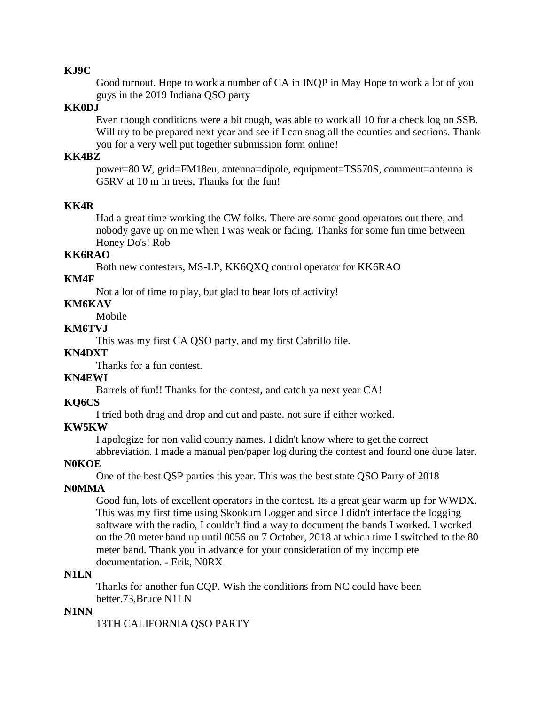#### **KJ9C**

Good turnout. Hope to work a number of CA in INQP in May Hope to work a lot of you guys in the 2019 Indiana QSO party

### **KK0DJ**

Even though conditions were a bit rough, was able to work all 10 for a check log on SSB. Will try to be prepared next year and see if I can snag all the counties and sections. Thank you for a very well put together submission form online!

### **KK4BZ**

power=80 W, grid=FM18eu, antenna=dipole, equipment=TS570S, comment=antenna is G5RV at 10 m in trees, Thanks for the fun!

### **KK4R**

Had a great time working the CW folks. There are some good operators out there, and nobody gave up on me when I was weak or fading. Thanks for some fun time between Honey Do's! Rob

## **KK6RAO**

Both new contesters, MS-LP, KK6QXQ control operator for KK6RAO

#### **KM4F**

Not a lot of time to play, but glad to hear lots of activity!

### **KM6KAV**

Mobile

## **KM6TVJ**

This was my first CA QSO party, and my first Cabrillo file.

## **KN4DXT**

Thanks for a fun contest.

## **KN4EWI**

Barrels of fun!! Thanks for the contest, and catch ya next year CA!

## **KQ6CS**

I tried both drag and drop and cut and paste. not sure if either worked.

#### **KW5KW**

I apologize for non valid county names. I didn't know where to get the correct

abbreviation. I made a manual pen/paper log during the contest and found one dupe later.

## **N0KOE**

One of the best QSP parties this year. This was the best state QSO Party of 2018

### **N0MMA**

Good fun, lots of excellent operators in the contest. Its a great gear warm up for WWDX. This was my first time using Skookum Logger and since I didn't interface the logging software with the radio, I couldn't find a way to document the bands I worked. I worked on the 20 meter band up until 0056 on 7 October, 2018 at which time I switched to the 80 meter band. Thank you in advance for your consideration of my incomplete documentation. - Erik, N0RX

#### **N1LN**

Thanks for another fun CQP. Wish the conditions from NC could have been better.73,Bruce N1LN

#### **N1NN**

13TH CALIFORNIA QSO PARTY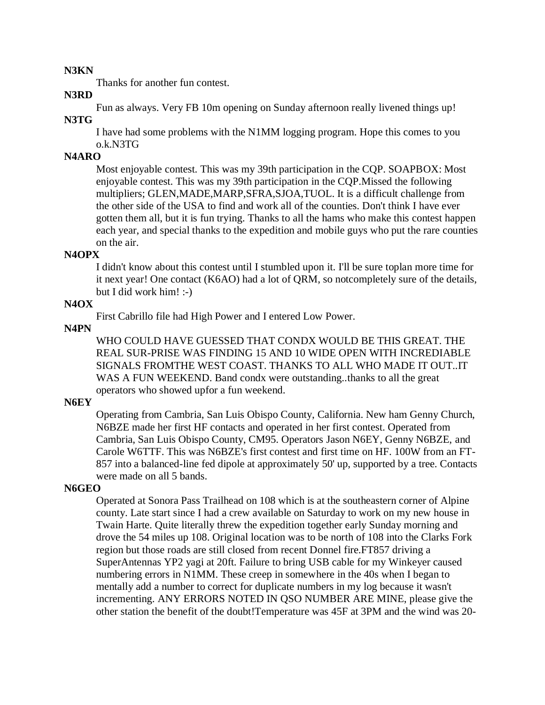#### **N3KN**

Thanks for another fun contest.

#### **N3RD**

Fun as always. Very FB 10m opening on Sunday afternoon really livened things up!

## **N3TG**

I have had some problems with the N1MM logging program. Hope this comes to you o.k.N3TG

## **N4ARO**

Most enjoyable contest. This was my 39th participation in the CQP. SOAPBOX: Most enjoyable contest. This was my 39th participation in the CQP.Missed the following multipliers; GLEN,MADE,MARP,SFRA,SJOA,TUOL. It is a difficult challenge from the other side of the USA to find and work all of the counties. Don't think I have ever gotten them all, but it is fun trying. Thanks to all the hams who make this contest happen each year, and special thanks to the expedition and mobile guys who put the rare counties on the air.

#### **N4OPX**

I didn't know about this contest until I stumbled upon it. I'll be sure toplan more time for it next year! One contact (K6AO) had a lot of QRM, so notcompletely sure of the details, but I did work him! :-)

## **N4OX**

First Cabrillo file had High Power and I entered Low Power.

### **N4PN**

WHO COULD HAVE GUESSED THAT CONDX WOULD BE THIS GREAT. THE REAL SUR-PRISE WAS FINDING 15 AND 10 WIDE OPEN WITH INCREDIABLE SIGNALS FROMTHE WEST COAST. THANKS TO ALL WHO MADE IT OUT..IT WAS A FUN WEEKEND. Band condx were outstanding..thanks to all the great operators who showed upfor a fun weekend.

### **N6EY**

Operating from Cambria, San Luis Obispo County, California. New ham Genny Church, N6BZE made her first HF contacts and operated in her first contest. Operated from Cambria, San Luis Obispo County, CM95. Operators Jason N6EY, Genny N6BZE, and Carole W6TTF. This was N6BZE's first contest and first time on HF. 100W from an FT-857 into a balanced-line fed dipole at approximately 50' up, supported by a tree. Contacts were made on all 5 bands.

#### **N6GEO**

Operated at Sonora Pass Trailhead on 108 which is at the southeastern corner of Alpine county. Late start since I had a crew available on Saturday to work on my new house in Twain Harte. Quite literally threw the expedition together early Sunday morning and drove the 54 miles up 108. Original location was to be north of 108 into the Clarks Fork region but those roads are still closed from recent Donnel fire.FT857 driving a SuperAntennas YP2 yagi at 20ft. Failure to bring USB cable for my Winkeyer caused numbering errors in N1MM. These creep in somewhere in the 40s when I began to mentally add a number to correct for duplicate numbers in my log because it wasn't incrementing. ANY ERRORS NOTED IN QSO NUMBER ARE MINE, please give the other station the benefit of the doubt!Temperature was 45F at 3PM and the wind was 20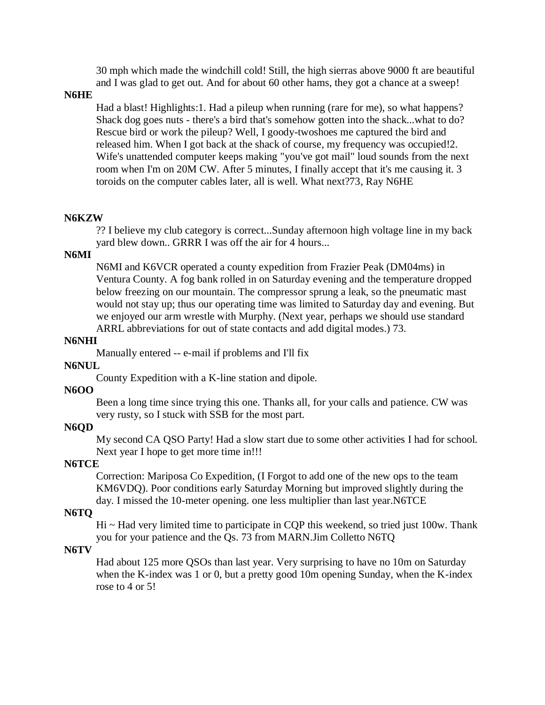30 mph which made the windchill cold! Still, the high sierras above 9000 ft are beautiful and I was glad to get out. And for about 60 other hams, they got a chance at a sweep!

**N6HE** 

Had a blast! Highlights:1. Had a pileup when running (rare for me), so what happens? Shack dog goes nuts - there's a bird that's somehow gotten into the shack...what to do? Rescue bird or work the pileup? Well, I goody-twoshoes me captured the bird and released him. When I got back at the shack of course, my frequency was occupied!2. Wife's unattended computer keeps making "you've got mail" loud sounds from the next room when I'm on 20M CW. After 5 minutes, I finally accept that it's me causing it. 3 toroids on the computer cables later, all is well. What next?73, Ray N6HE

#### **N6KZW**

?? I believe my club category is correct...Sunday afternoon high voltage line in my back yard blew down.. GRRR I was off the air for 4 hours...

#### **N6MI**

N6MI and K6VCR operated a county expedition from Frazier Peak (DM04ms) in Ventura County. A fog bank rolled in on Saturday evening and the temperature dropped below freezing on our mountain. The compressor sprung a leak, so the pneumatic mast would not stay up; thus our operating time was limited to Saturday day and evening. But we enjoyed our arm wrestle with Murphy. (Next year, perhaps we should use standard ARRL abbreviations for out of state contacts and add digital modes.) 73.

#### **N6NHI**

Manually entered -- e-mail if problems and I'll fix

#### **N6NUL**

County Expedition with a K-line station and dipole.

#### **N6OO**

Been a long time since trying this one. Thanks all, for your calls and patience. CW was very rusty, so I stuck with SSB for the most part.

#### **N6QD**

My second CA QSO Party! Had a slow start due to some other activities I had for school. Next year I hope to get more time in!!!

#### **N6TCE**

Correction: Mariposa Co Expedition, (I Forgot to add one of the new ops to the team KM6VDQ). Poor conditions early Saturday Morning but improved slightly during the day. I missed the 10-meter opening. one less multiplier than last year.N6TCE

#### **N6TQ**

 $Hi ~ Hid$  very limited time to participate in CQP this weekend, so tried just 100w. Thank you for your patience and the Qs. 73 from MARN.Jim Colletto N6TQ

#### **N6TV**

Had about 125 more QSOs than last year. Very surprising to have no 10m on Saturday when the K-index was 1 or 0, but a pretty good 10m opening Sunday, when the K-index rose to 4 or 5!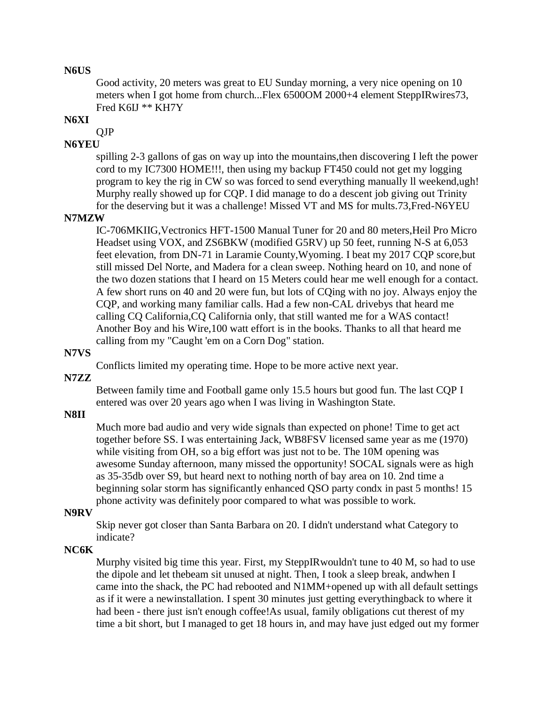#### **N6US**

Good activity, 20 meters was great to EU Sunday morning, a very nice opening on 10 meters when I got home from church...Flex 6500OM 2000+4 element SteppIRwires73, Fred K6IJ \*\* KH7Y

### **N6XI**

QJP

## **N6YEU**

spilling 2-3 gallons of gas on way up into the mountains,then discovering I left the power cord to my IC7300 HOME!!!, then using my backup FT450 could not get my logging program to key the rig in CW so was forced to send everything manually ll weekend,ugh! Murphy really showed up for CQP. I did manage to do a descent job giving out Trinity for the deserving but it was a challenge! Missed VT and MS for mults.73,Fred-N6YEU

#### **N7MZW**

IC-706MKIIG,Vectronics HFT-1500 Manual Tuner for 20 and 80 meters,Heil Pro Micro Headset using VOX, and ZS6BKW (modified G5RV) up 50 feet, running N-S at 6,053 feet elevation, from DN-71 in Laramie County,Wyoming. I beat my 2017 CQP score,but still missed Del Norte, and Madera for a clean sweep. Nothing heard on 10, and none of the two dozen stations that I heard on 15 Meters could hear me well enough for a contact. A few short runs on 40 and 20 were fun, but lots of CQing with no joy. Always enjoy the CQP, and working many familiar calls. Had a few non-CAL drivebys that heard me calling CQ California,CQ California only, that still wanted me for a WAS contact! Another Boy and his Wire,100 watt effort is in the books. Thanks to all that heard me calling from my "Caught 'em on a Corn Dog" station.

## **N7VS**

Conflicts limited my operating time. Hope to be more active next year.

**N7ZZ** 

Between family time and Football game only 15.5 hours but good fun. The last CQP I entered was over 20 years ago when I was living in Washington State.

#### **N8II**

Much more bad audio and very wide signals than expected on phone! Time to get act together before SS. I was entertaining Jack, WB8FSV licensed same year as me (1970) while visiting from OH, so a big effort was just not to be. The 10M opening was awesome Sunday afternoon, many missed the opportunity! SOCAL signals were as high as 35-35db over S9, but heard next to nothing north of bay area on 10. 2nd time a beginning solar storm has significantly enhanced QSO party condx in past 5 months! 15 phone activity was definitely poor compared to what was possible to work.

#### **N9RV**

Skip never got closer than Santa Barbara on 20. I didn't understand what Category to indicate?

#### **NC6K**

Murphy visited big time this year. First, my SteppIRwouldn't tune to 40 M, so had to use the dipole and let thebeam sit unused at night. Then, I took a sleep break, andwhen I came into the shack, the PC had rebooted and N1MM+opened up with all default settings as if it were a newinstallation. I spent 30 minutes just getting everythingback to where it had been - there just isn't enough coffee!As usual, family obligations cut therest of my time a bit short, but I managed to get 18 hours in, and may have just edged out my former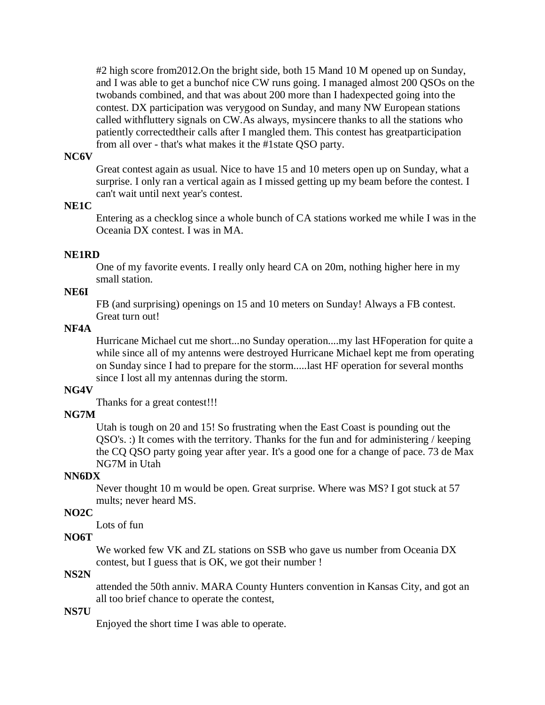#2 high score from2012.On the bright side, both 15 Mand 10 M opened up on Sunday, and I was able to get a bunchof nice CW runs going. I managed almost 200 QSOs on the twobands combined, and that was about 200 more than I hadexpected going into the contest. DX participation was verygood on Sunday, and many NW European stations called withfluttery signals on CW.As always, mysincere thanks to all the stations who patiently correctedtheir calls after I mangled them. This contest has greatparticipation from all over - that's what makes it the #1state QSO party.

### **NC6V**

Great contest again as usual. Nice to have 15 and 10 meters open up on Sunday, what a surprise. I only ran a vertical again as I missed getting up my beam before the contest. I can't wait until next year's contest.

### **NE1C**

Entering as a checklog since a whole bunch of CA stations worked me while I was in the Oceania DX contest. I was in MA.

#### **NE1RD**

One of my favorite events. I really only heard CA on 20m, nothing higher here in my small station.

## **NE6I**

FB (and surprising) openings on 15 and 10 meters on Sunday! Always a FB contest. Great turn out!

## **NF4A**

Hurricane Michael cut me short...no Sunday operation....my last HFoperation for quite a while since all of my antenns were destroyed Hurricane Michael kept me from operating on Sunday since I had to prepare for the storm.....last HF operation for several months since I lost all my antennas during the storm.

#### **NG4V**

Thanks for a great contest!!!

### **NG7M**

Utah is tough on 20 and 15! So frustrating when the East Coast is pounding out the QSO's. :) It comes with the territory. Thanks for the fun and for administering / keeping the CQ QSO party going year after year. It's a good one for a change of pace. 73 de Max NG7M in Utah

### **NN6DX**

Never thought 10 m would be open. Great surprise. Where was MS? I got stuck at 57 mults; never heard MS.

### **NO2C**

Lots of fun

## **NO6T**

We worked few VK and ZL stations on SSB who gave us number from Oceania DX contest, but I guess that is OK, we got their number !

## **NS2N**

attended the 50th anniv. MARA County Hunters convention in Kansas City, and got an all too brief chance to operate the contest,

#### **NS7U**

Enjoyed the short time I was able to operate.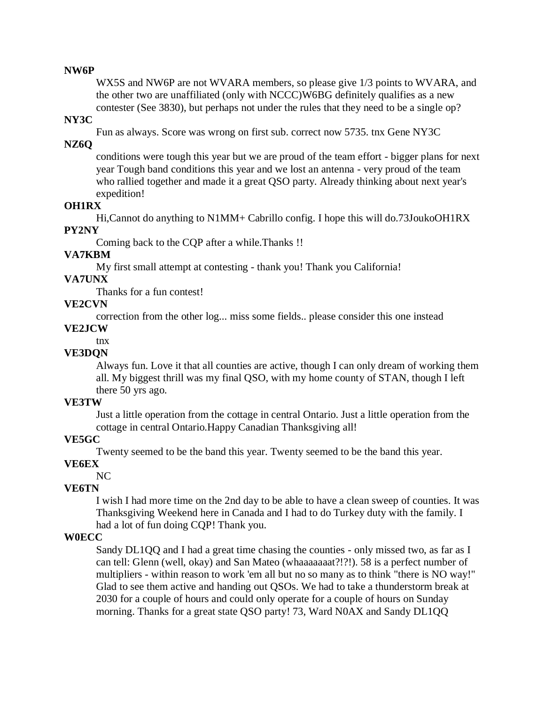#### **NW6P**

WX5S and NW6P are not WVARA members, so please give 1/3 points to WVARA, and the other two are unaffiliated (only with NCCC)W6BG definitely qualifies as a new contester (See 3830), but perhaps not under the rules that they need to be a single op?

### **NY3C**

Fun as always. Score was wrong on first sub. correct now 5735. tnx Gene NY3C

#### **NZ6Q**

conditions were tough this year but we are proud of the team effort - bigger plans for next year Tough band conditions this year and we lost an antenna - very proud of the team who rallied together and made it a great QSO party. Already thinking about next year's expedition!

## **OH1RX**

Hi,Cannot do anything to N1MM+ Cabrillo config. I hope this will do.73JoukoOH1RX **PY2NY** 

Coming back to the CQP after a while.Thanks !!

#### **VA7KBM**

My first small attempt at contesting - thank you! Thank you California!

## **VA7UNX**

Thanks for a fun contest!

### **VE2CVN**

correction from the other log... miss some fields.. please consider this one instead

### **VE2JCW**

tnx

### **VE3DQN**

Always fun. Love it that all counties are active, though I can only dream of working them all. My biggest thrill was my final QSO, with my home county of STAN, though I left there 50 yrs ago.

### **VE3TW**

Just a little operation from the cottage in central Ontario. Just a little operation from the cottage in central Ontario.Happy Canadian Thanksgiving all!

### **VE5GC**

Twenty seemed to be the band this year. Twenty seemed to be the band this year.

#### **VE6EX**

NC

## **VE6TN**

I wish I had more time on the 2nd day to be able to have a clean sweep of counties. It was Thanksgiving Weekend here in Canada and I had to do Turkey duty with the family. I had a lot of fun doing CQP! Thank you.

### **W0ECC**

Sandy DL1QQ and I had a great time chasing the counties - only missed two, as far as I can tell: Glenn (well, okay) and San Mateo (whaaaaaaat?!?!). 58 is a perfect number of multipliers - within reason to work 'em all but no so many as to think "there is NO way!" Glad to see them active and handing out QSOs. We had to take a thunderstorm break at 2030 for a couple of hours and could only operate for a couple of hours on Sunday morning. Thanks for a great state QSO party! 73, Ward N0AX and Sandy DL1QQ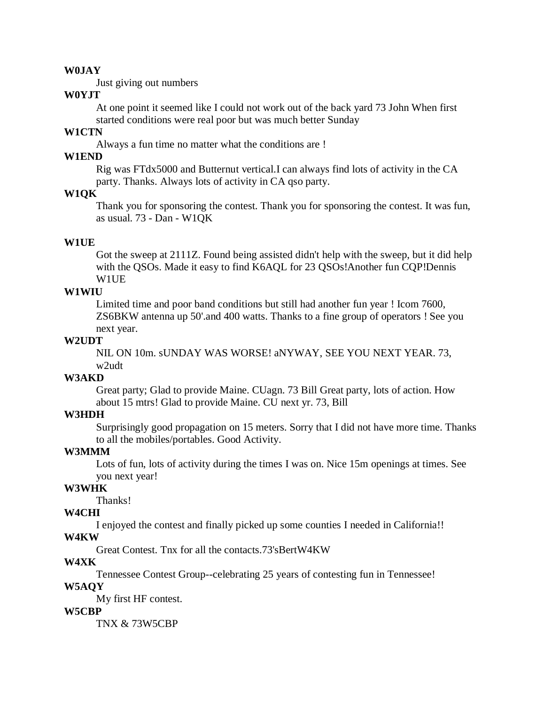#### **W0JAY**

Just giving out numbers

## **W0YJT**

At one point it seemed like I could not work out of the back yard 73 John When first started conditions were real poor but was much better Sunday

### **W1CTN**

Always a fun time no matter what the conditions are !

## **W1END**

Rig was FTdx5000 and Butternut vertical.I can always find lots of activity in the CA party. Thanks. Always lots of activity in CA qso party.

## **W1QK**

Thank you for sponsoring the contest. Thank you for sponsoring the contest. It was fun, as usual. 73 - Dan - W1QK

#### **W1UE**

Got the sweep at 2111Z. Found being assisted didn't help with the sweep, but it did help with the OSOs. Made it easy to find K6AOL for 23 OSOs!Another fun COP!Dennis W1UE

### **W1WIU**

Limited time and poor band conditions but still had another fun year ! Icom 7600, ZS6BKW antenna up 50'.and 400 watts. Thanks to a fine group of operators ! See you next year.

#### **W2UDT**

NIL ON 10m. sUNDAY WAS WORSE! aNYWAY, SEE YOU NEXT YEAR. 73, w2udt

### **W3AKD**

Great party; Glad to provide Maine. CUagn. 73 Bill Great party, lots of action. How about 15 mtrs! Glad to provide Maine. CU next yr. 73, Bill

#### **W3HDH**

Surprisingly good propagation on 15 meters. Sorry that I did not have more time. Thanks to all the mobiles/portables. Good Activity.

#### **W3MMM**

Lots of fun, lots of activity during the times I was on. Nice 15m openings at times. See you next year!

## **W3WHK**

Thanks!

#### **W4CHI**

I enjoyed the contest and finally picked up some counties I needed in California!!

## **W4KW**

Great Contest. Tnx for all the contacts.73'sBertW4KW

#### **W4XK**

Tennessee Contest Group--celebrating 25 years of contesting fun in Tennessee! **W5AQY** 

My first HF contest.

#### **W5CBP**

TNX & 73W5CBP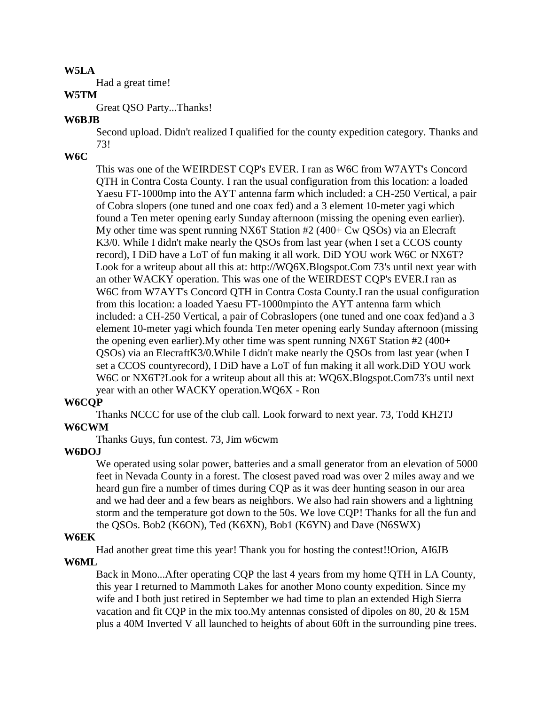#### **W5LA**

Had a great time!

#### **W5TM**

Great QSO Party...Thanks!

### **W6BJB**

Second upload. Didn't realized I qualified for the county expedition category. Thanks and 73!

## **W6C**

This was one of the WEIRDEST CQP's EVER. I ran as W6C from W7AYT's Concord QTH in Contra Costa County. I ran the usual configuration from this location: a loaded Yaesu FT-1000mp into the AYT antenna farm which included: a CH-250 Vertical, a pair of Cobra slopers (one tuned and one coax fed) and a 3 element 10-meter yagi which found a Ten meter opening early Sunday afternoon (missing the opening even earlier). My other time was spent running NX6T Station #2 (400+ Cw QSOs) via an Elecraft K3/0. While I didn't make nearly the QSOs from last year (when I set a CCOS county record), I DiD have a LoT of fun making it all work. DiD YOU work W6C or NX6T? Look for a writeup about all this at: http://WQ6X.Blogspot.Com 73's until next year with an other WACKY operation. This was one of the WEIRDEST CQP's EVER.I ran as W6C from W7AYT's Concord QTH in Contra Costa County.I ran the usual configuration from this location: a loaded Yaesu FT-1000mpinto the AYT antenna farm which included: a CH-250 Vertical, a pair of Cobraslopers (one tuned and one coax fed)and a 3 element 10-meter yagi which founda Ten meter opening early Sunday afternoon (missing the opening even earlier).My other time was spent running NX6T Station #2 (400+ QSOs) via an ElecraftK3/0.While I didn't make nearly the QSOs from last year (when I set a CCOS countyrecord), I DiD have a LoT of fun making it all work.DiD YOU work W6C or NX6T?Look for a writeup about all this at: WQ6X.Blogspot.Com73's until next year with an other WACKY operation.WQ6X - Ron

### **W6CQP**

Thanks NCCC for use of the club call. Look forward to next year. 73, Todd KH2TJ

### **W6CWM**

Thanks Guys, fun contest. 73, Jim w6cwm

### **W6DOJ**

We operated using solar power, batteries and a small generator from an elevation of 5000 feet in Nevada County in a forest. The closest paved road was over 2 miles away and we heard gun fire a number of times during CQP as it was deer hunting season in our area and we had deer and a few bears as neighbors. We also had rain showers and a lightning storm and the temperature got down to the 50s. We love CQP! Thanks for all the fun and the QSOs. Bob2 (K6ON), Ted (K6XN), Bob1 (K6YN) and Dave (N6SWX)

#### **W6EK**

Had another great time this year! Thank you for hosting the contest!!Orion, AI6JB

### **W6ML**

Back in Mono...After operating CQP the last 4 years from my home QTH in LA County, this year I returned to Mammoth Lakes for another Mono county expedition. Since my wife and I both just retired in September we had time to plan an extended High Sierra vacation and fit CQP in the mix too.My antennas consisted of dipoles on 80, 20 & 15M plus a 40M Inverted V all launched to heights of about 60ft in the surrounding pine trees.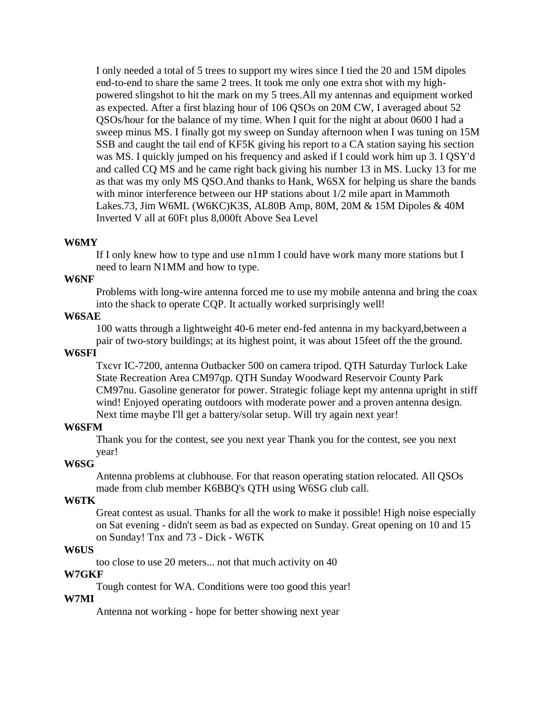I only needed a total of 5 trees to support my wires since I tied the 20 and 15M dipoles end-to-end to share the same 2 trees. It took me only one extra shot with my highpowered slingshot to hit the mark on my 5 trees.All my antennas and equipment worked as expected. After a first blazing hour of 106 QSOs on 20M CW, I averaged about 52 QSOs/hour for the balance of my time. When I quit for the night at about 0600 I had a sweep minus MS. I finally got my sweep on Sunday afternoon when I was tuning on 15M SSB and caught the tail end of KF5K giving his report to a CA station saying his section was MS. I quickly jumped on his frequency and asked if I could work him up 3. I QSY'd and called CQ MS and he came right back giving his number 13 in MS. Lucky 13 for me as that was my only MS QSO.And thanks to Hank, W6SX for helping us share the bands with minor interference between our HP stations about  $1/2$  mile apart in Mammoth Lakes.73, Jim W6ML (W6KC)K3S, AL80B Amp, 80M, 20M & 15M Dipoles & 40M Inverted V all at 60Ft plus 8,000ft Above Sea Level

#### **W6MY**

If I only knew how to type and use n1mm I could have work many more stations but I need to learn N1MM and how to type.

#### **W6NF**

Problems with long-wire antenna forced me to use my mobile antenna and bring the coax into the shack to operate CQP. It actually worked surprisingly well!

#### **W6SAE**

100 watts through a lightweight 40-6 meter end-fed antenna in my backyard,between a pair of two-story buildings; at its highest point, it was about 15feet off the the ground.

#### **W6SFI**

Txcvr IC-7200, antenna Outbacker 500 on camera tripod. QTH Saturday Turlock Lake State Recreation Area CM97qp. QTH Sunday Woodward Reservoir County Park CM97nu. Gasoline generator for power. Strategic foliage kept my antenna upright in stiff wind! Enjoyed operating outdoors with moderate power and a proven antenna design. Next time maybe I'll get a battery/solar setup. Will try again next year!

#### **W6SFM**

Thank you for the contest, see you next year Thank you for the contest, see you next year!

#### **W6SG**

Antenna problems at clubhouse. For that reason operating station relocated. All QSOs made from club member K6BBQ's QTH using W6SG club call.

#### **W6TK**

Great contest as usual. Thanks for all the work to make it possible! High noise especially on Sat evening - didn't seem as bad as expected on Sunday. Great opening on 10 and 15 on Sunday! Tnx and 73 - Dick - W6TK

#### **W6US**

too close to use 20 meters... not that much activity on 40

#### **W7GKF**

Tough contest for WA. Conditions were too good this year!

#### **W7MI**

Antenna not working - hope for better showing next year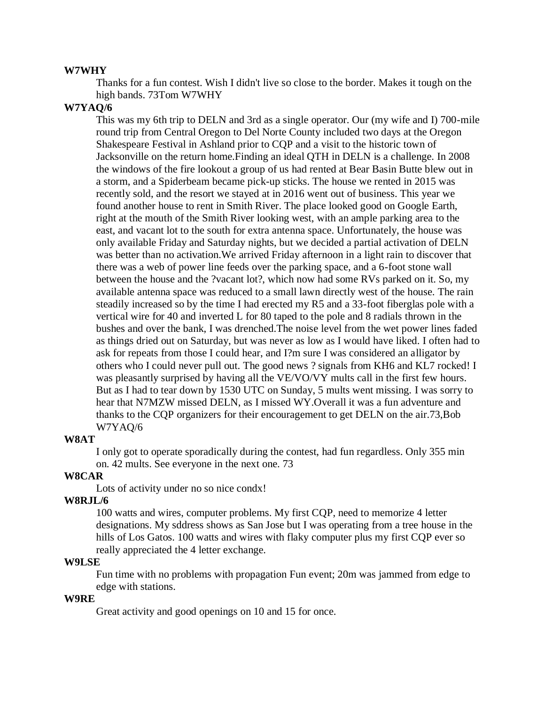#### **W7WHY**

Thanks for a fun contest. Wish I didn't live so close to the border. Makes it tough on the high bands. 73Tom W7WHY

#### **W7YAQ/6**

This was my 6th trip to DELN and 3rd as a single operator. Our (my wife and I) 700-mile round trip from Central Oregon to Del Norte County included two days at the Oregon Shakespeare Festival in Ashland prior to CQP and a visit to the historic town of Jacksonville on the return home.Finding an ideal QTH in DELN is a challenge. In 2008 the windows of the fire lookout a group of us had rented at Bear Basin Butte blew out in a storm, and a Spiderbeam became pick-up sticks. The house we rented in 2015 was recently sold, and the resort we stayed at in 2016 went out of business. This year we found another house to rent in Smith River. The place looked good on Google Earth, right at the mouth of the Smith River looking west, with an ample parking area to the east, and vacant lot to the south for extra antenna space. Unfortunately, the house was only available Friday and Saturday nights, but we decided a partial activation of DELN was better than no activation.We arrived Friday afternoon in a light rain to discover that there was a web of power line feeds over the parking space, and a 6-foot stone wall between the house and the ?vacant lot?, which now had some RVs parked on it. So, my available antenna space was reduced to a small lawn directly west of the house. The rain steadily increased so by the time I had erected my R5 and a 33-foot fiberglas pole with a vertical wire for 40 and inverted L for 80 taped to the pole and 8 radials thrown in the bushes and over the bank, I was drenched.The noise level from the wet power lines faded as things dried out on Saturday, but was never as low as I would have liked. I often had to ask for repeats from those I could hear, and I?m sure I was considered an alligator by others who I could never pull out. The good news ? signals from KH6 and KL7 rocked! I was pleasantly surprised by having all the VE/VO/VY mults call in the first few hours. But as I had to tear down by 1530 UTC on Sunday, 5 mults went missing. I was sorry to hear that N7MZW missed DELN, as I missed WY.Overall it was a fun adventure and thanks to the CQP organizers for their encouragement to get DELN on the air.73,Bob W7YAQ/6

#### **W8AT**

I only got to operate sporadically during the contest, had fun regardless. Only 355 min on. 42 mults. See everyone in the next one. 73

#### **W8CAR**

Lots of activity under no so nice condx!

#### **W8RJL/6**

100 watts and wires, computer problems. My first CQP, need to memorize 4 letter designations. My sddress shows as San Jose but I was operating from a tree house in the hills of Los Gatos. 100 watts and wires with flaky computer plus my first CQP ever so really appreciated the 4 letter exchange.

#### **W9LSE**

Fun time with no problems with propagation Fun event; 20m was jammed from edge to edge with stations.

### **W9RE**

Great activity and good openings on 10 and 15 for once.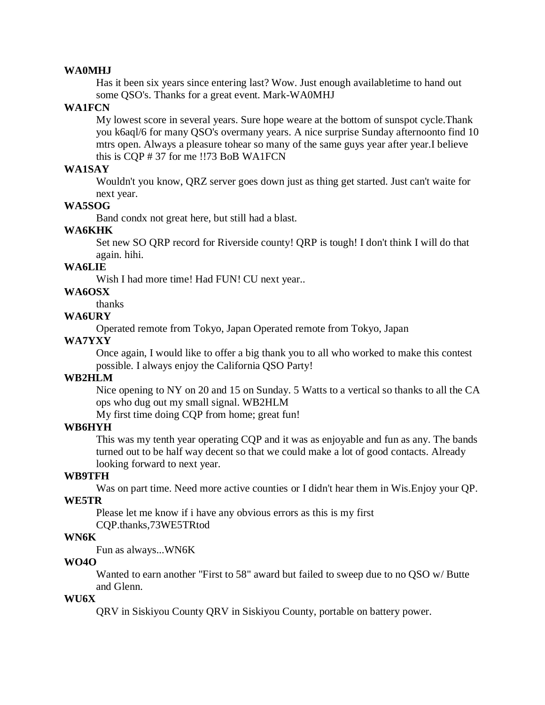#### **WA0MHJ**

Has it been six years since entering last? Wow. Just enough availabletime to hand out some QSO's. Thanks for a great event. Mark-WA0MHJ

### **WA1FCN**

My lowest score in several years. Sure hope weare at the bottom of sunspot cycle.Thank you k6aql/6 for many QSO's overmany years. A nice surprise Sunday afternoonto find 10 mtrs open. Always a pleasure tohear so many of the same guys year after year.I believe this is CQP # 37 for me !!73 BoB WA1FCN

#### **WA1SAY**

Wouldn't you know, QRZ server goes down just as thing get started. Just can't waite for next year.

## **WA5SOG**

Band condx not great here, but still had a blast.

### **WA6KHK**

Set new SO QRP record for Riverside county! QRP is tough! I don't think I will do that again. hihi.

### **WA6LIE**

Wish I had more time! Had FUN! CU next year..

**WA6OSX** 

thanks

## **WA6URY**

Operated remote from Tokyo, Japan Operated remote from Tokyo, Japan

#### **WA7YXY**

Once again, I would like to offer a big thank you to all who worked to make this contest possible. I always enjoy the California QSO Party!

### **WB2HLM**

Nice opening to NY on 20 and 15 on Sunday. 5 Watts to a vertical so thanks to all the CA ops who dug out my small signal. WB2HLM

My first time doing CQP from home; great fun!

#### **WB6HYH**

This was my tenth year operating CQP and it was as enjoyable and fun as any. The bands turned out to be half way decent so that we could make a lot of good contacts. Already looking forward to next year.

#### **WB9TFH**

Was on part time. Need more active counties or I didn't hear them in Wis.Enjoy your QP.

## **WE5TR**

Please let me know if i have any obvious errors as this is my first CQP.thanks,73WE5TRtod

#### **WN6K**

Fun as always...WN6K

### **WO4O**

Wanted to earn another "First to 58" award but failed to sweep due to no QSO w/ Butte and Glenn.

### **WU6X**

QRV in Siskiyou County QRV in Siskiyou County, portable on battery power.